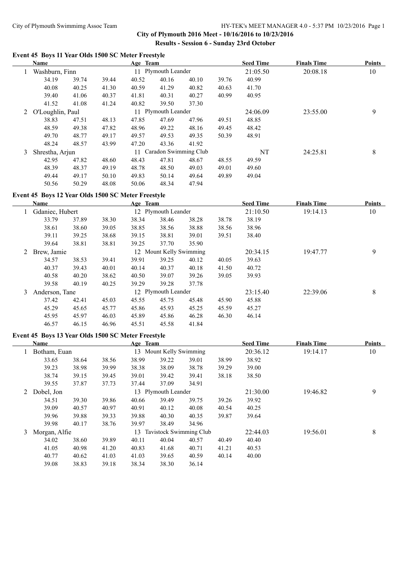# City of Plymouth Swimmimg Assoc Team HY-TEK's MEET MANAGER 4.0 - 5:37 PM 10/23/2016 Page 1

**City of Plymouth 2016 Meet - 10/16/2016 to 10/23/2016 Results - Session 6 - Sunday 23rd October**

## **Event 45 Boys 11 Year Olds 1500 SC Meter Freestyle**

|   | Name            |                  |       | Age Team |                          |       |       | <b>Seed Time</b> | <b>Finals Time</b> | <b>Points</b> |
|---|-----------------|------------------|-------|----------|--------------------------|-------|-------|------------------|--------------------|---------------|
|   |                 | Washburn, Finn   |       |          | 11 Plymouth Leander      |       |       | 21:05.50         | 20:08.18           | 10            |
|   | 34.19           | 39.74            | 39.44 | 40.52    | 40.16                    | 40.10 | 39.76 | 40.99            |                    |               |
|   | 40.08           | 40.25            | 41.30 | 40.59    | 41.29                    | 40.82 | 40.63 | 41.70            |                    |               |
|   | 39.40           | 41.06            | 40.37 | 41.81    | 40.31                    | 40.27 | 40.99 | 40.95            |                    |               |
|   | 41.52           | 41.08            | 41.24 | 40.82    | 39.50                    | 37.30 |       |                  |                    |               |
| 2 |                 | O'Loughlin, Paul |       |          | 11 Plymouth Leander      |       |       | 24:06.09         | 23:55.00           | 9             |
|   | 38.83           | 47.51            | 48.13 | 47.85    | 47.69                    | 47.96 | 49.51 | 48.85            |                    |               |
|   | 48.59           | 49.38            | 47.82 | 48.96    | 49.22                    | 48.16 | 49.45 | 48.42            |                    |               |
|   | 49.70           | 48.77            | 49.17 | 49.57    | 49.53                    | 49.35 | 50.39 | 48.91            |                    |               |
|   | 48.24           | 48.57            | 43.99 | 47.20    | 43.36                    | 41.92 |       |                  |                    |               |
| 3 | Shrestha, Arjun |                  |       |          | 11 Caradon Swimming Club |       |       | NT               | 24:25.81           | 8             |
|   | 42.95           | 47.82            | 48.60 | 48.43    | 47.81                    | 48.67 | 48.55 | 49.59            |                    |               |
|   | 48.39           | 48.37            | 49.19 | 48.78    | 48.50                    | 49.03 | 49.01 | 49.60            |                    |               |
|   | 49.44           | 49.17            | 50.10 | 49.83    | 50.14                    | 49.64 | 49.89 | 49.04            |                    |               |
|   | 50.56           | 50.29            | 48.08 | 50.06    | 48.34                    | 47.94 |       |                  |                    |               |

#### **Event 45 Boys 12 Year Olds 1500 SC Meter Freestyle**

 $\frac{1}{2}$ 

|   | Name            |       |       | Age Team |                         |       | <b>Seed Time</b> | <b>Finals Time</b> | <b>Points</b> |    |
|---|-----------------|-------|-------|----------|-------------------------|-------|------------------|--------------------|---------------|----|
|   | Gdaniec, Hubert |       |       |          | 12 Plymouth Leander     |       |                  | 21:10.50           | 19:14.13      | 10 |
|   | 33.79           | 37.89 | 38.30 | 38.34    | 38.46                   | 38.28 | 38.78            | 38.19              |               |    |
|   | 38.61           | 38.60 | 39.05 | 38.85    | 38.56                   | 38.88 | 38.56            | 38.96              |               |    |
|   | 39.11           | 39.25 | 38.68 | 39.15    | 38.81                   | 39.01 | 39.51            | 38.40              |               |    |
|   | 39.64           | 38.81 | 38.81 | 39.25    | 37.70                   | 35.90 |                  |                    |               |    |
| 2 | Brew, Jamie     |       |       |          | 12 Mount Kelly Swimming |       |                  | 20:34.15           | 19:47.77      | 9  |
|   | 34.57           | 38.53 | 39.41 | 39.91    | 39.25                   | 40.12 | 40.05            | 39.63              |               |    |
|   | 40.37           | 39.43 | 40.01 | 40.14    | 40.37                   | 40.18 | 41.50            | 40.72              |               |    |
|   | 40.58           | 40.20 | 38.62 | 40.50    | 39.07                   | 39.26 | 39.05            | 39.93              |               |    |
|   | 39.58           | 40.19 | 40.25 | 39.29    | 39.28                   | 37.78 |                  |                    |               |    |
| 3 | Anderson, Tane  |       |       |          | 12 Plymouth Leander     |       |                  | 23:15.40           | 22:39.06      | 8  |
|   | 37.42           | 42.41 | 45.03 | 45.55    | 45.75                   | 45.48 | 45.90            | 45.88              |               |    |
|   | 45.29           | 45.65 | 45.77 | 45.86    | 45.93                   | 45.25 | 45.59            | 45.27              |               |    |
|   | 45.95           | 45.97 | 46.03 | 45.89    | 45.86                   | 46.28 | 46.30            | 46.14              |               |    |
|   | 46.57           | 46.15 | 46.96 | 45.51    | 45.58                   | 41.84 |                  |                    |               |    |

### **Event 45 Boys 13 Year Olds 1500 SC Meter Freestyle**

|   | Name          |       |       | Age Team |                      |                         | <b>Seed Time</b> | <b>Finals Time</b> | <b>Points</b> |    |
|---|---------------|-------|-------|----------|----------------------|-------------------------|------------------|--------------------|---------------|----|
|   | Botham, Euan  |       |       | 13       | Mount Kelly Swimming |                         |                  | 20:36.12           | 19:14.17      | 10 |
|   | 33.65         | 38.64 | 38.56 | 38.99    | 39.22                | 39.01                   | 38.99            | 38.92              |               |    |
|   | 39.23         | 38.98 | 39.99 | 38.38    | 38.09                | 38.78                   | 39.29            | 39.00              |               |    |
|   | 38.74         | 39.15 | 39.45 | 39.01    | 39.42                | 39.41                   | 38.18            | 38.50              |               |    |
|   | 39.55         | 37.87 | 37.73 | 37.44    | 37.09                | 34.91                   |                  |                    |               |    |
| 2 | Dobel, Jon    |       |       |          | 13 Plymouth Leander  |                         | 21:30.00         | 19:46.82           | 9             |    |
|   | 34.51         | 39.30 | 39.86 | 40.66    | 39.49                | 39.75                   | 39.26            | 39.92              |               |    |
|   | 39.09         | 40.57 | 40.97 | 40.91    | 40.12                | 40.08                   | 40.54            | 40.25              |               |    |
|   | 39.96         | 39.88 | 39.33 | 39.88    | 40.30                | 40.35                   | 39.87            | 39.64              |               |    |
|   | 39.98         | 40.17 | 38.76 | 39.97    | 38.49                | 34.96                   |                  |                    |               |    |
| 3 | Morgan, Alfie |       |       | 13       |                      | Tavistock Swimming Club |                  | 22:44.03           | 19:56.01      | 8  |
|   | 34.02         | 38.60 | 39.89 | 40.11    | 40.04                | 40.57                   | 40.49            | 40.40              |               |    |
|   | 41.05         | 40.98 | 41.20 | 40.83    | 41.68                | 40.71                   | 41.21            | 40.53              |               |    |
|   | 40.77         | 40.62 | 41.03 | 41.03    | 39.65                | 40.59                   | 40.14            | 40.00              |               |    |
|   | 39.08         | 38.83 | 39.18 | 38.34    | 38.30                | 36.14                   |                  |                    |               |    |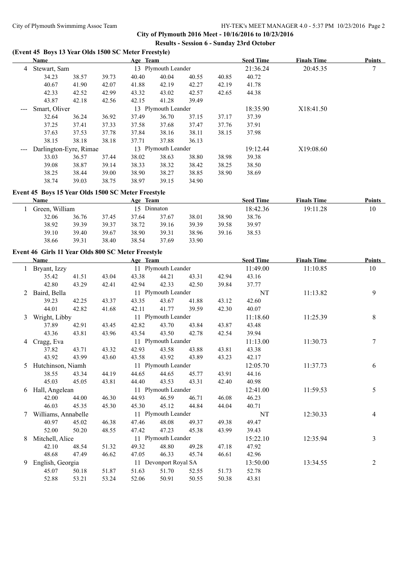**City of Plymouth 2016 Meet - 10/16/2016 to 10/23/2016 Results - Session 6 - Sunday 23rd October**

#### **(Event 45 Boys 13 Year Olds 1500 SC Meter Freestyle)**

|                      | Name                   |       |       | Age Team            |                     |       | <b>Seed Time</b> | <b>Finals Time</b> | <b>Points</b> |   |
|----------------------|------------------------|-------|-------|---------------------|---------------------|-------|------------------|--------------------|---------------|---|
| 4                    | Stewart, Sam           |       |       | 13 Plymouth Leander |                     |       |                  | 21:36.24           | 20:45.35      | 7 |
|                      | 34.23                  | 38.57 | 39.73 | 40.40               | 40.04               | 40.55 | 40.85            | 40.72              |               |   |
|                      | 40.67                  | 41.90 | 42.07 | 41.88               | 42.19               | 42.27 | 42.19            | 41.78              |               |   |
|                      | 42.33                  | 42.52 | 42.99 | 43.32               | 43.02               | 42.57 | 42.65            | 44.38              |               |   |
|                      | 43.87                  | 42.18 | 42.56 | 42.15               | 41.28               | 39.49 |                  |                    |               |   |
| $\sim$ $\sim$ $\sim$ | Smart, Oliver          |       |       |                     | 13 Plymouth Leander |       |                  | 18:35.90           | X18:41.50     |   |
|                      | 32.64                  | 36.24 | 36.92 | 37.49               | 36.70               | 37.15 | 37.17            | 37.39              |               |   |
|                      | 37.25                  | 37.41 | 37.33 | 37.58               | 37.68               | 37.47 | 37.76            | 37.91              |               |   |
|                      | 37.63                  | 37.53 | 37.78 | 37.84               | 38.16               | 38.11 | 38.15            | 37.98              |               |   |
|                      | 38.15                  | 38.18 | 38.18 | 37.71               | 37.88               | 36.13 |                  |                    |               |   |
|                      | Darlington-Eyre, Rimae |       |       |                     | 13 Plymouth Leander |       |                  | 19:12.44           | X19:08.60     |   |
|                      | 33.03                  | 36.57 | 37.44 | 38.02               | 38.63               | 38.80 | 38.98            | 39.38              |               |   |
|                      | 39.08                  | 38.87 | 39.14 | 38.33               | 38.32               | 38.42 | 38.25            | 38.50              |               |   |
|                      | 38.25                  | 38.44 | 39.00 | 38.90               | 38.27               | 38.85 | 38.90            | 38.69              |               |   |
|                      | 38.74                  | 39.03 | 38.75 | 38.97               | 39.15               | 34.90 |                  |                    |               |   |

#### **Event 45 Boys 15 Year Olds 1500 SC Meter Freestyle**

| Name           |       |       | Age Team    |       |       |       | <b>Seed Time</b> | <b>Finals Time</b> | <b>Points</b> |
|----------------|-------|-------|-------------|-------|-------|-------|------------------|--------------------|---------------|
| Green, William |       |       | 15 Dinnaton |       |       |       | 18:42.36         | 19:11.28           | 10            |
| 32.06          | 36.76 | 37.45 | 37.64       | 37.67 | 38.01 | 38.90 | 38.76            |                    |               |
| 38.92          | 39.39 | 39.37 | 38.72       | 39.16 | 39.39 | 39.58 | 39.97            |                    |               |
| 39.10          | 39.40 | 39.67 | 38.90       | 39.31 | 38.96 | 39.16 | 38.53            |                    |               |
| 38.66          | 39.31 | 38.40 | 38.54       | 37.69 | 33.90 |       |                  |                    |               |

### **Event 46 Girls 11 Year Olds 800 SC Meter Freestyle**

|   | Name                                  |       |       | Age Team |                       |       |          | <b>Seed Time</b> | <b>Finals Time</b> | <b>Points</b> |
|---|---------------------------------------|-------|-------|----------|-----------------------|-------|----------|------------------|--------------------|---------------|
|   | Bryant, Izzy                          |       |       |          | 11 Plymouth Leander   |       |          | 11:49.00         | 11:10.85           | 10            |
|   | 35.42                                 | 41.51 | 43.04 | 43.38    | 44.21                 | 43.31 | 42.94    | 43.16            |                    |               |
|   | 42.80                                 | 43.29 | 42.41 | 42.94    | 42.33                 | 42.50 | 39.84    | 37.77            |                    |               |
| 2 | Baird, Bella                          |       |       |          | 11 Plymouth Leander   |       |          | NT               | 11:13.82           | 9             |
|   | 39.23                                 | 42.25 | 43.37 | 43.35    | 43.67                 | 41.88 | 43.12    | 42.60            |                    |               |
|   | 44.01                                 | 42.82 | 41.68 | 42.11    | 41.77                 | 39.59 | 42.30    | 40.07            |                    |               |
| 3 | Wright, Libby                         |       |       |          | 11 Plymouth Leander   |       |          | 11:18.60         | 11:25.39           | 8             |
|   | 37.89                                 | 42.91 | 43.45 | 42.82    | 43.70                 | 43.84 | 43.87    | 43.48            |                    |               |
|   | 43.36                                 | 43.81 | 43.96 | 43.54    | 43.50                 | 42.78 | 42.54    | 39.94            |                    |               |
| 4 | 11 Plymouth Leander<br>Cragg, Eva     |       |       |          |                       |       |          | 11:13.00         | 11:30.73           | 7             |
|   | 37.82                                 | 43.71 | 43.32 | 42.93    | 43.58                 | 43.88 | 43.81    | 43.38            |                    |               |
|   | 43.92                                 | 43.99 | 43.60 | 43.58    | 43.92                 | 43.89 | 43.23    | 42.17            |                    |               |
| 5 | Hutchinson, Niamh                     |       |       |          | 11 Plymouth Leander   |       |          | 12:05.70         | 11:37.73           | 6             |
|   | 38.55                                 | 43.34 | 44.19 | 44.65    | 44.65                 | 45.77 | 43.91    | 44.16            |                    |               |
|   | 45.03                                 | 45.05 | 43.81 | 44.40    | 43.53                 | 43.31 | 42.40    | 40.98            |                    |               |
| 6 | 11 Plymouth Leander<br>Hall, Angelean |       |       |          |                       |       | 12:41.00 | 11:59.53         | 5                  |               |
|   | 42.00                                 | 44.00 | 46.30 | 44.93    | 46.59                 | 46.71 | 46.08    | 46.23            |                    |               |
|   | 46.03                                 | 45.35 | 45.30 | 45.30    | 45.12                 | 44.84 | 44.04    | 40.71            |                    |               |
|   | Williams, Annabelle                   |       |       |          | 11 Plymouth Leander   |       |          | NT               | 12:30.33           | 4             |
|   | 40.97                                 | 45.02 | 46.38 | 47.46    | 48.08                 | 49.37 | 49.38    | 49.47            |                    |               |
|   | 52.00                                 | 50.20 | 48.55 | 47.42    | 47.23                 | 45.38 | 43.99    | 39.43            |                    |               |
| 8 | Mitchell, Alice                       |       |       |          | 11 Plymouth Leander   |       |          | 15:22.10         | 12:35.94           | 3             |
|   | 42.10                                 | 48.54 | 51.32 | 49.32    | 48.80                 | 49.28 | 47.18    | 47.92            |                    |               |
|   | 48.68                                 | 47.49 | 46.62 | 47.05    | 46.33                 | 45.74 | 46.61    | 42.96            |                    |               |
| 9 | English, Georgia                      |       |       |          | 11 Devonport Royal SA |       |          | 13:50.00         | 13:34.55           | 2             |
|   | 45.07                                 | 50.18 | 51.87 | 51.63    | 51.70                 | 52.55 | 51.73    | 52.78            |                    |               |
|   | 52.88                                 | 53.21 | 53.24 | 52.06    | 50.91                 | 50.55 | 50.38    | 43.81            |                    |               |